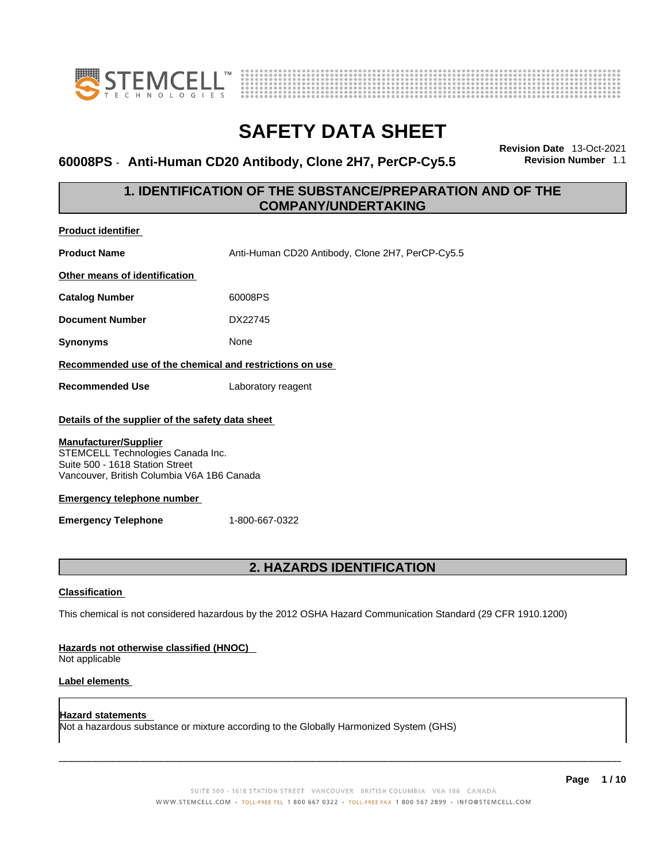



#### **60008PS - Anti-Human CD20 Antibody, Clone 2H7, PerCP-Cy5.5**

**Revision Date** 13-Oct-2021

### **1. IDENTIFICATION OF THE SUBSTANCE/PREPARATION AND OF THE COMPANY/UNDERTAKING**

| <b>Product identifier</b>                                                                                          |                                                  |  |  |
|--------------------------------------------------------------------------------------------------------------------|--------------------------------------------------|--|--|
| <b>Product Name</b>                                                                                                | Anti-Human CD20 Antibody, Clone 2H7, PerCP-Cy5.5 |  |  |
| Other means of identification                                                                                      |                                                  |  |  |
| <b>Catalog Number</b>                                                                                              | 60008PS                                          |  |  |
| <b>Document Number</b>                                                                                             | DX22745                                          |  |  |
| <b>Synonyms</b>                                                                                                    | None                                             |  |  |
| Recommended use of the chemical and restrictions on use                                                            |                                                  |  |  |
| <b>Recommended Use</b>                                                                                             | Laboratory reagent                               |  |  |
| <b>Manufacturer/Supplier</b>                                                                                       | Details of the supplier of the safety data sheet |  |  |
| STEMCELL Technologies Canada Inc.<br>Suite 500 - 1618 Station Street<br>Vancouver, British Columbia V6A 1B6 Canada |                                                  |  |  |
| <b>Emergency telephone number</b>                                                                                  |                                                  |  |  |
| <b>Emergency Telephone</b>                                                                                         | 1-800-667-0322                                   |  |  |
|                                                                                                                    |                                                  |  |  |
| <b>2. HAZARDS IDENTIFICATION</b>                                                                                   |                                                  |  |  |
| <b>Classification</b>                                                                                              |                                                  |  |  |
| This chemical is not considered hazardous by the 2012 OSHA Hazard Communication Standard (29 CFR 1910.1200)        |                                                  |  |  |
| Hazards not otherwise classified (HNOC)<br>Not applicable                                                          |                                                  |  |  |
| <b>Label elements</b>                                                                                              |                                                  |  |  |

**Hazard statements**  Not a hazardous substance or mixture according to the Globally Harmonized System (GHS)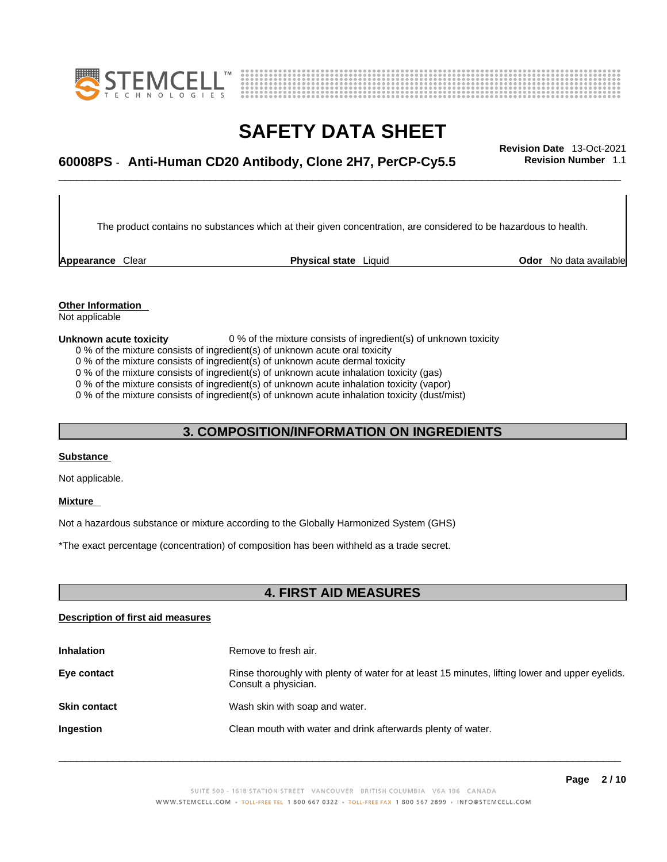



# \_\_\_\_\_\_\_\_\_\_\_\_\_\_\_\_\_\_\_\_\_\_\_\_\_\_\_\_\_\_\_\_\_\_\_\_\_\_\_\_\_\_\_\_\_\_\_\_\_\_\_\_\_\_\_\_\_\_\_\_\_\_\_\_\_\_\_\_\_\_\_\_\_\_\_\_\_\_\_\_\_\_\_\_\_\_\_\_\_\_\_\_\_ **Revision Date** 13-Oct-2021 **60008PS** - **Anti-Human CD20 Antibody, Clone 2H7, PerCP-Cy5.5 Revision Number** 1.1

The product contains no substances which at their given concentration, are considered to be hazardous to health.

**Appearance** Clear **Physical state** Liquid

**Odor** No data available

**Other Information**  Not applicable

#### **Unknown acute toxicity** 0 % of the mixture consists of ingredient(s) of unknown toxicity

0 % of the mixture consists of ingredient(s) of unknown acute oral toxicity

0 % of the mixture consists of ingredient(s) of unknown acute dermal toxicity

0 % of the mixture consists of ingredient(s) of unknown acute inhalation toxicity (gas)

0 % of the mixture consists of ingredient(s) of unknown acute inhalation toxicity (vapor)

0 % of the mixture consists of ingredient(s) of unknown acute inhalation toxicity (dust/mist)

### **3. COMPOSITION/INFORMATION ON INGREDIENTS**

#### **Substance**

Not applicable.

#### **Mixture**

Not a hazardous substance or mixture according to the Globally Harmonized System (GHS)

\*The exact percentage (concentration) of composition has been withheld as a trade secret.

### **4. FIRST AID MEASURES**

#### **Description of first aid measures**

| <b>Inhalation</b>   | Remove to fresh air.                                                                                                    |
|---------------------|-------------------------------------------------------------------------------------------------------------------------|
| Eye contact         | Rinse thoroughly with plenty of water for at least 15 minutes, lifting lower and upper eyelids.<br>Consult a physician. |
| <b>Skin contact</b> | Wash skin with soap and water.                                                                                          |
| Ingestion           | Clean mouth with water and drink afterwards plenty of water.                                                            |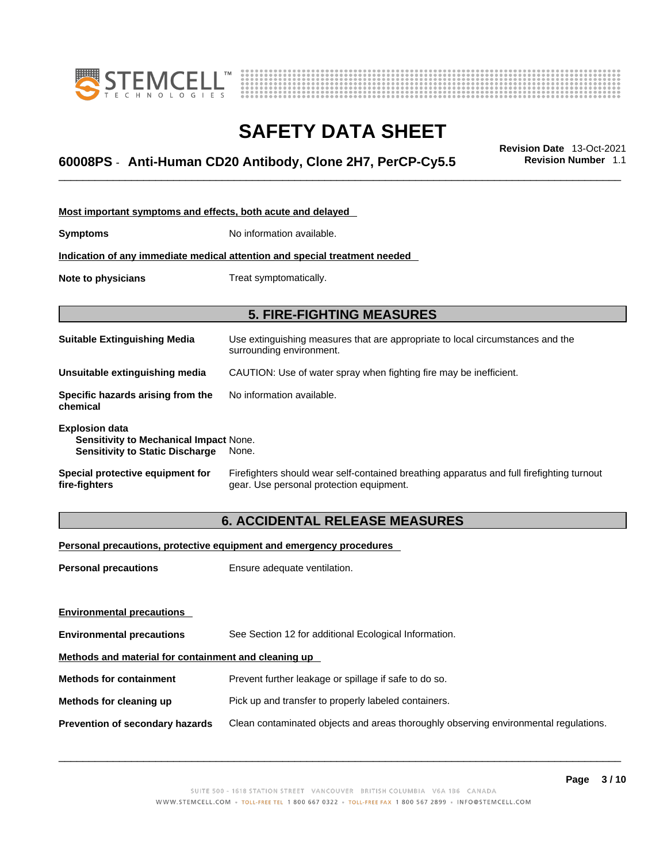



# \_\_\_\_\_\_\_\_\_\_\_\_\_\_\_\_\_\_\_\_\_\_\_\_\_\_\_\_\_\_\_\_\_\_\_\_\_\_\_\_\_\_\_\_\_\_\_\_\_\_\_\_\_\_\_\_\_\_\_\_\_\_\_\_\_\_\_\_\_\_\_\_\_\_\_\_\_\_\_\_\_\_\_\_\_\_\_\_\_\_\_\_\_ **Revision Date** 13-Oct-2021 **60008PS** - **Anti-Human CD20 Antibody, Clone 2H7, PerCP-Cy5.5 Revision Number** 1.1

| Most important symptoms and effects, both acute and delayed                                               |                                                                                                                                       |  |  |
|-----------------------------------------------------------------------------------------------------------|---------------------------------------------------------------------------------------------------------------------------------------|--|--|
|                                                                                                           |                                                                                                                                       |  |  |
| <b>Symptoms</b>                                                                                           | No information available.                                                                                                             |  |  |
|                                                                                                           | Indication of any immediate medical attention and special treatment needed                                                            |  |  |
| Note to physicians                                                                                        | Treat symptomatically.                                                                                                                |  |  |
|                                                                                                           | <b>5. FIRE-FIGHTING MEASURES</b>                                                                                                      |  |  |
| <b>Suitable Extinguishing Media</b>                                                                       | Use extinguishing measures that are appropriate to local circumstances and the<br>surrounding environment.                            |  |  |
| Unsuitable extinguishing media                                                                            | CAUTION: Use of water spray when fighting fire may be inefficient.                                                                    |  |  |
| Specific hazards arising from the<br>chemical                                                             | No information available.                                                                                                             |  |  |
| <b>Explosion data</b><br>Sensitivity to Mechanical Impact None.<br><b>Sensitivity to Static Discharge</b> | None.                                                                                                                                 |  |  |
| Special protective equipment for<br>fire-fighters                                                         | Firefighters should wear self-contained breathing apparatus and full firefighting turnout<br>gear. Use personal protection equipment. |  |  |

### **6. ACCIDENTAL RELEASE MEASURES**

#### **Personal precautions, protective equipment and emergency procedures**

| <b>Personal precautions</b>                          | Ensure adequate ventilation.                                                         |  |
|------------------------------------------------------|--------------------------------------------------------------------------------------|--|
|                                                      |                                                                                      |  |
| <b>Environmental precautions</b>                     |                                                                                      |  |
| <b>Environmental precautions</b>                     | See Section 12 for additional Ecological Information.                                |  |
| Methods and material for containment and cleaning up |                                                                                      |  |
| <b>Methods for containment</b>                       | Prevent further leakage or spillage if safe to do so.                                |  |
| Methods for cleaning up                              | Pick up and transfer to properly labeled containers.                                 |  |
| <b>Prevention of secondary hazards</b>               | Clean contaminated objects and areas thoroughly observing environmental regulations. |  |
|                                                      |                                                                                      |  |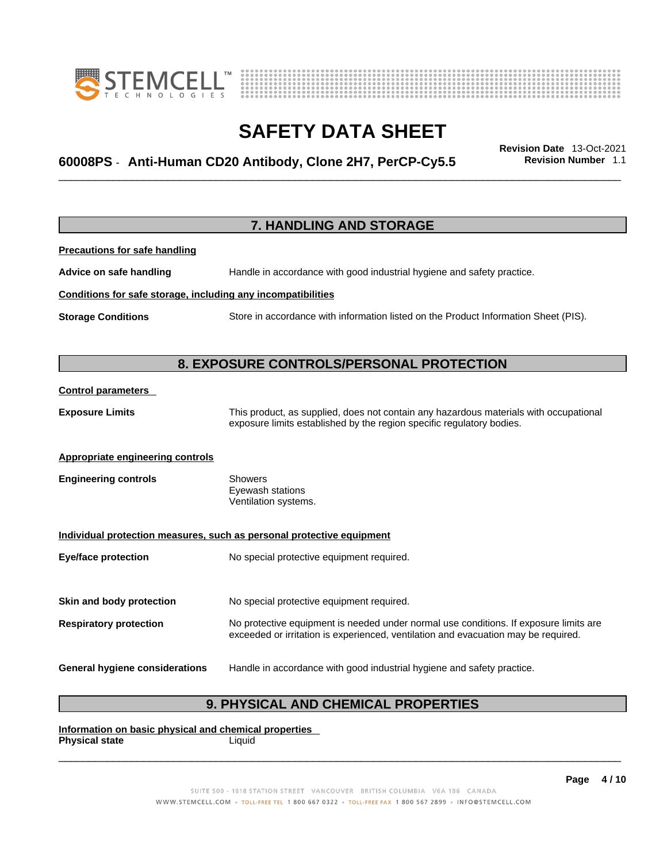



# \_\_\_\_\_\_\_\_\_\_\_\_\_\_\_\_\_\_\_\_\_\_\_\_\_\_\_\_\_\_\_\_\_\_\_\_\_\_\_\_\_\_\_\_\_\_\_\_\_\_\_\_\_\_\_\_\_\_\_\_\_\_\_\_\_\_\_\_\_\_\_\_\_\_\_\_\_\_\_\_\_\_\_\_\_\_\_\_\_\_\_\_\_ **Revision Date** 13-Oct-2021 **60008PS** - **Anti-Human CD20 Antibody, Clone 2H7, PerCP-Cy5.5 Revision Number** 1.1

**7. HANDLING AND STORAGE Precautions for safe handling Advice on safe handling** Handle in accordance with good industrial hygiene and safety practice. **Conditions for safe storage, including any incompatibilities Storage Conditions** Store in accordance with information listed on the Product Information Sheet (PIS). **8. EXPOSURE CONTROLS/PERSONAL PROTECTION Control parameters Exposure Limits** This product, as supplied, does not contain any hazardous materials with occupational exposure limits established by the region specific regulatory bodies. **Appropriate engineering controls Engineering controls** Showers Eyewash stations Ventilation systems. **Individual protection measures, such as personal protective equipment Eye/face protection** No special protective equipment required. **Skin and body protection** No special protective equipment required. **Respiratory protection** No protective equipment is needed under normal use conditions. If exposure limits are exceeded or irritation is experienced, ventilation and evacuation may be required. **General hygiene considerations** Handle in accordance with good industrial hygiene and safety practice.

### **9. PHYSICAL AND CHEMICAL PROPERTIES**

**Information on basic physical and chemical properties Physical state** Liquid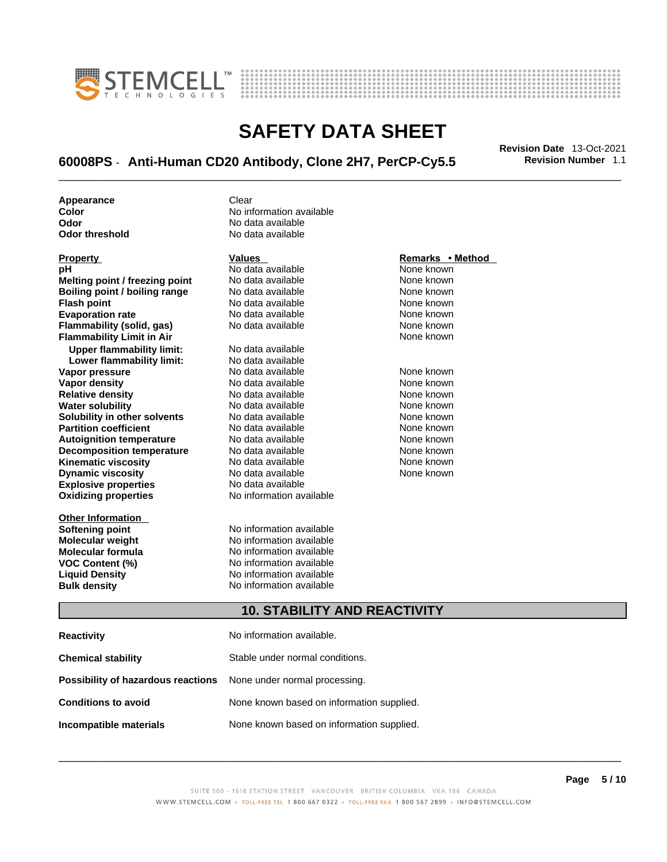



# \_\_\_\_\_\_\_\_\_\_\_\_\_\_\_\_\_\_\_\_\_\_\_\_\_\_\_\_\_\_\_\_\_\_\_\_\_\_\_\_\_\_\_\_\_\_\_\_\_\_\_\_\_\_\_\_\_\_\_\_\_\_\_\_\_\_\_\_\_\_\_\_\_\_\_\_\_\_\_\_\_\_\_\_\_\_\_\_\_\_\_\_\_ **Revision Date** 13-Oct-2021 **60008PS** - **Anti-Human CD20 Antibody, Clone 2H7, PerCP-Cy5.5 Revision Number** 1.1

**Appearance Clear** 

**Explosive properties**<br> **Oxidizing properties**<br> **Oxidizing properties**<br> **No information available Oxidizing properties Property CONSCRUTE ACCORDING METHOD Values <b>CONSCRUTE ACCORDING METHOD METHOD METHOD VALUES Property Remarks** • **Method pH** No data available None known **Melting point / freezing point** No data available None known<br> **Rojling point / bojling range** No data available None Known None known **Boiling point / boiling range** No data available **None known**<br>
No data available **None known**<br>
No data available **None known Evaporation rate Cone Cone Access Mone Cone Cone Cone Access Provident Cone Cone Access Provident Cone known<br>
<b>Flammability (solid. gas)** No data available Cone Cone Known **Flammability (solid, gas)** No data available None known **Flammability Limit in Air None known None known Upper flammability limit:** No data available **Lower flammability limit:** No data available **Vapor pressure** 1980 in the Modata available 1980 in the Known None known<br> **Vapor density** 1980 in the None Known None known None known **Vapor density** No data available None known **Relative density Water solubility** No data available None known **Solubility in other solvents** No data available None known **Partition coefficient**<br> **Autoignition temperature**<br>
No data available None None known<br>
None known **Autoignition temperature** Mo data available Mone known<br> **Decomposition temperature** No data available None known **Decomposition temperature** No data available<br> **Kinematic viscosity** No data available **Kinematic viscosity No data available None known**<br> **Discussible No data available None known**<br>
None known **Dynamic viscosity No data available None known** 

**Other Information** 

**Color Color Color Color Color Color Color Color Color Color Color Color Color Color Color Color Color Color Color Color Color Color Color Color Color Color Color Color Odor No data available**<br> **Odor threshold No data available** No data available

**No data available** 

**Softening point**<br> **Molecular weight**<br> **Molecular weight**<br> **Molecular weight**<br> **Molecular weight No information available Molecular formula** No information available **VOC Content (%)**<br> **Content (%)**<br>
No information available<br>
No information available **No information available Bulk density No information available** 

### **10. STABILITY AND REACTIVITY**

| <b>Reactivity</b>                                                       | No information available.                 |
|-------------------------------------------------------------------------|-------------------------------------------|
| <b>Chemical stability</b>                                               | Stable under normal conditions.           |
| <b>Possibility of hazardous reactions</b> None under normal processing. |                                           |
| <b>Conditions to avoid</b>                                              | None known based on information supplied. |
| Incompatible materials                                                  | None known based on information supplied. |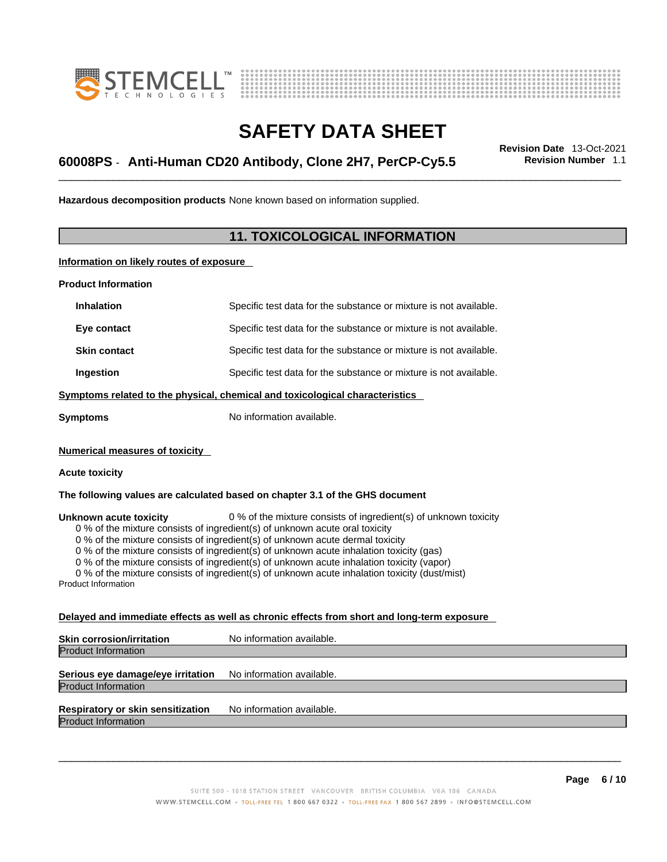



# \_\_\_\_\_\_\_\_\_\_\_\_\_\_\_\_\_\_\_\_\_\_\_\_\_\_\_\_\_\_\_\_\_\_\_\_\_\_\_\_\_\_\_\_\_\_\_\_\_\_\_\_\_\_\_\_\_\_\_\_\_\_\_\_\_\_\_\_\_\_\_\_\_\_\_\_\_\_\_\_\_\_\_\_\_\_\_\_\_\_\_\_\_ **Revision Date** 13-Oct-2021 **60008PS** - **Anti-Human CD20 Antibody, Clone 2H7, PerCP-Cy5.5 Revision Number** 1.1

**Hazardous decomposition products** None known based on information supplied.

### **11. TOXICOLOGICAL INFORMATION**

**Information on likely routes of exposure**

**Product Information**

| <b>Inhalation</b>                                                            | Specific test data for the substance or mixture is not available. |  |
|------------------------------------------------------------------------------|-------------------------------------------------------------------|--|
| Eye contact                                                                  | Specific test data for the substance or mixture is not available. |  |
| <b>Skin contact</b>                                                          | Specific test data for the substance or mixture is not available. |  |
| Ingestion                                                                    | Specific test data for the substance or mixture is not available. |  |
| Symptoms related to the physical, chemical and toxicological characteristics |                                                                   |  |
| Symptoms                                                                     | No information available.                                         |  |

**Numerical measures of toxicity**

#### **Acute toxicity**

**The following values are calculated based on chapter 3.1 of the GHS document**

**Unknown acute toxicity** 0 % of the mixture consists of ingredient(s) of unknown toxicity

0 % of the mixture consists of ingredient(s) of unknown acute oral toxicity

0 % of the mixture consists of ingredient(s) of unknown acute dermal toxicity

0 % of the mixture consists of ingredient(s) of unknown acute inhalation toxicity (gas)

0 % of the mixture consists of ingredient(s) of unknown acute inhalation toxicity (vapor)

0 % of the mixture consists of ingredient(s) of unknown acute inhalation toxicity (dust/mist)

Product Information

#### **Delayed and immediate effects as well as chronic effects from short and long-term exposure**

| <b>Skin corrosion/irritation</b> | No information available. |
|----------------------------------|---------------------------|
| <b>Product Information</b>       |                           |
|                                  |                           |

#### **Serious eye damage/eye irritation** No information available. Product Information

### **Respiratory or skin sensitization** No information available.

Product Information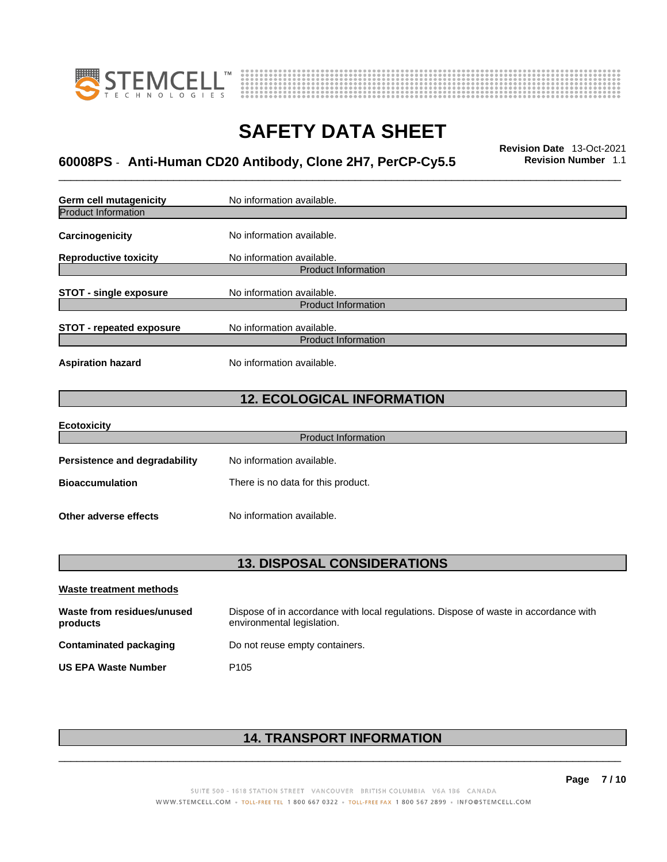



# \_\_\_\_\_\_\_\_\_\_\_\_\_\_\_\_\_\_\_\_\_\_\_\_\_\_\_\_\_\_\_\_\_\_\_\_\_\_\_\_\_\_\_\_\_\_\_\_\_\_\_\_\_\_\_\_\_\_\_\_\_\_\_\_\_\_\_\_\_\_\_\_\_\_\_\_\_\_\_\_\_\_\_\_\_\_\_\_\_\_\_\_\_ **Revision Date** 13-Oct-2021 **60008PS** - **Anti-Human CD20 Antibody, Clone 2H7, PerCP-Cy5.5 Revision Number** 1.1

| Germ cell mutagenicity               | No information available.          |  |  |
|--------------------------------------|------------------------------------|--|--|
| <b>Product Information</b>           |                                    |  |  |
| Carcinogenicity                      | No information available.          |  |  |
| <b>Reproductive toxicity</b>         | No information available.          |  |  |
|                                      | <b>Product Information</b>         |  |  |
| <b>STOT - single exposure</b>        | No information available.          |  |  |
|                                      | <b>Product Information</b>         |  |  |
| <b>STOT - repeated exposure</b>      | No information available.          |  |  |
|                                      | <b>Product Information</b>         |  |  |
| <b>Aspiration hazard</b>             | No information available.          |  |  |
|                                      |                                    |  |  |
| <b>12. ECOLOGICAL INFORMATION</b>    |                                    |  |  |
| <b>Ecotoxicity</b>                   |                                    |  |  |
|                                      | <b>Product Information</b>         |  |  |
| <b>Persistence and degradability</b> | No information available.          |  |  |
| <b>Bioaccumulation</b>               | There is no data for this product. |  |  |
| Other adverse effects                | No information available.          |  |  |
| <b>13. DISPOSAL CONSIDERATIONS</b>   |                                    |  |  |
|                                      |                                    |  |  |

| Waste treatment methods                |                                                                                                                    |
|----------------------------------------|--------------------------------------------------------------------------------------------------------------------|
| Waste from residues/unused<br>products | Dispose of in accordance with local regulations. Dispose of waste in accordance with<br>environmental legislation. |
| Contaminated packaging                 | Do not reuse empty containers.                                                                                     |
| <b>US EPA Waste Number</b>             | P <sub>105</sub>                                                                                                   |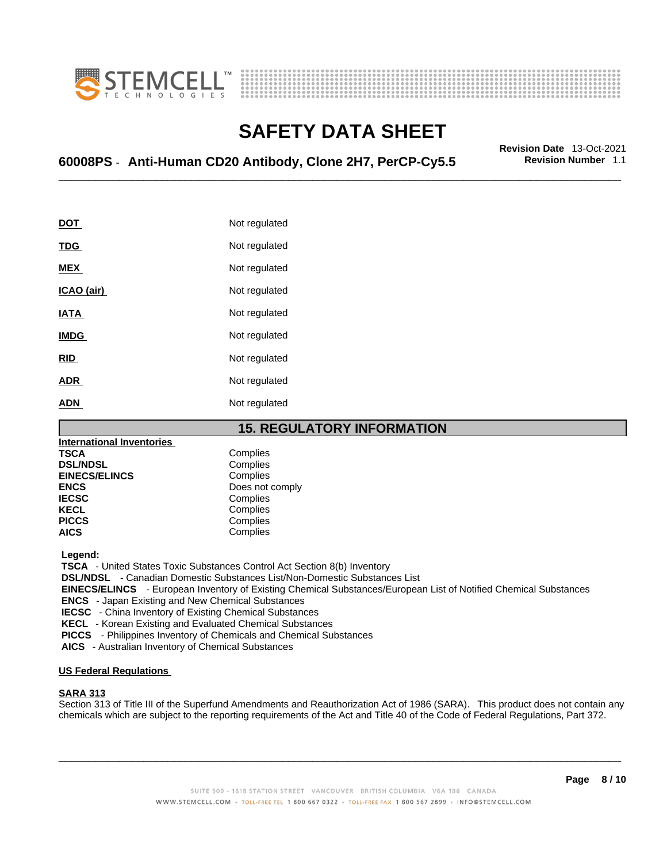



# \_\_\_\_\_\_\_\_\_\_\_\_\_\_\_\_\_\_\_\_\_\_\_\_\_\_\_\_\_\_\_\_\_\_\_\_\_\_\_\_\_\_\_\_\_\_\_\_\_\_\_\_\_\_\_\_\_\_\_\_\_\_\_\_\_\_\_\_\_\_\_\_\_\_\_\_\_\_\_\_\_\_\_\_\_\_\_\_\_\_\_\_\_ **Revision Date** 13-Oct-2021 **60008PS** - **Anti-Human CD20 Antibody, Clone 2H7, PerCP-Cy5.5 Revision Number** 1.1

| <u>DOT</u>  | Not regulated |
|-------------|---------------|
| <u>TDG</u>  | Not regulated |
| <u>MEX</u>  | Not regulated |
| ICAO (air)  | Not regulated |
| IATA        | Not regulated |
| <b>IMDG</b> | Not regulated |
| RID         | Not regulated |
| ADR         | Not regulated |
| ADN         | Not regulated |

#### **15. REGULATORY INFORMATION**

| <b>International Inventories</b> |                 |
|----------------------------------|-----------------|
| <b>TSCA</b>                      | Complies        |
| <b>DSL/NDSL</b>                  | Complies        |
| <b>EINECS/ELINCS</b>             | Complies        |
| <b>ENCS</b>                      | Does not comply |
| <b>IECSC</b>                     | Complies        |
| <b>KECL</b>                      | Complies        |
| <b>PICCS</b>                     | Complies        |
| <b>AICS</b>                      | Complies        |

 **Legend:** 

 **TSCA** - United States Toxic Substances Control Act Section 8(b) Inventory

 **DSL/NDSL** - Canadian Domestic Substances List/Non-Domestic Substances List

 **EINECS/ELINCS** - European Inventory of Existing Chemical Substances/European List of Notified Chemical Substances

 **ENCS** - Japan Existing and New Chemical Substances

 **IECSC** - China Inventory of Existing Chemical Substances

 **KECL** - Korean Existing and Evaluated Chemical Substances

 **PICCS** - Philippines Inventory of Chemicals and Chemical Substances

 **AICS** - Australian Inventory of Chemical Substances

#### **US Federal Regulations**

#### **SARA 313**

Section 313 of Title III of the Superfund Amendments and Reauthorization Act of 1986 (SARA). This product does not contain any chemicals which are subject to the reporting requirements of the Act and Title 40 of the Code of Federal Regulations, Part 372.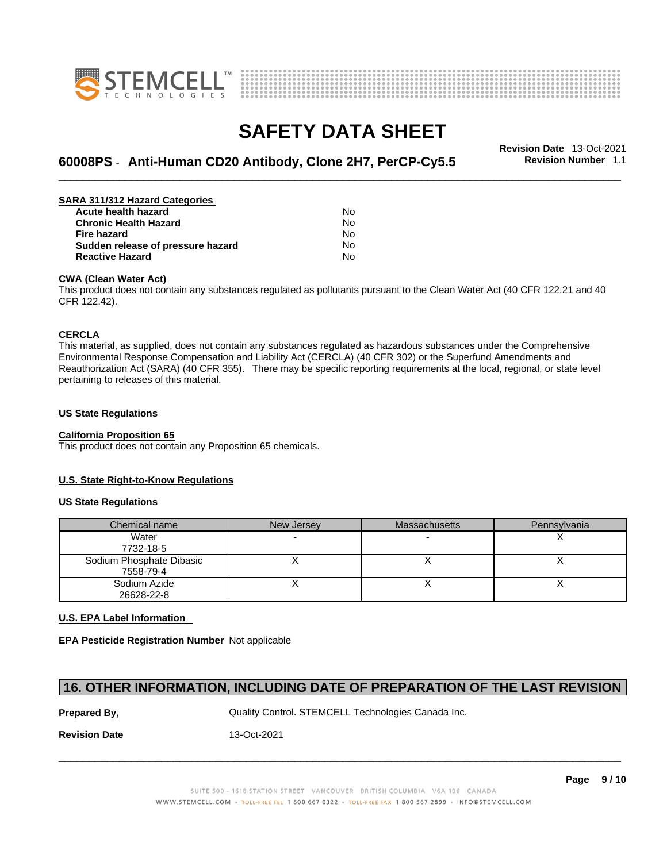



# \_\_\_\_\_\_\_\_\_\_\_\_\_\_\_\_\_\_\_\_\_\_\_\_\_\_\_\_\_\_\_\_\_\_\_\_\_\_\_\_\_\_\_\_\_\_\_\_\_\_\_\_\_\_\_\_\_\_\_\_\_\_\_\_\_\_\_\_\_\_\_\_\_\_\_\_\_\_\_\_\_\_\_\_\_\_\_\_\_\_\_\_\_ **Revision Date** 13-Oct-2021 **60008PS** - **Anti-Human CD20 Antibody, Clone 2H7, PerCP-Cy5.5 Revision Number** 1.1

| SARA 311/312 Hazard Categories    |    |  |
|-----------------------------------|----|--|
| Acute health hazard               | No |  |
| <b>Chronic Health Hazard</b>      | No |  |
| Fire hazard                       | No |  |
| Sudden release of pressure hazard | No |  |
| <b>Reactive Hazard</b>            | No |  |

#### **CWA (Clean WaterAct)**

This product does not contain any substances regulated as pollutants pursuant to the Clean Water Act (40 CFR 122.21 and 40 CFR 122.42).

#### **CERCLA**

This material, as supplied, does not contain any substances regulated as hazardous substances under the Comprehensive Environmental Response Compensation and Liability Act (CERCLA) (40 CFR 302) or the Superfund Amendments and Reauthorization Act (SARA) (40 CFR 355). There may be specific reporting requirements at the local, regional, or state level pertaining to releases of this material.

#### **US State Regulations**

#### **California Proposition 65**

This product does not contain any Proposition 65 chemicals.

#### **U.S. State Right-to-Know Regulations**

#### **US State Regulations**

| Chemical name            | New Jersey | <b>Massachusetts</b> | Pennsylvania |
|--------------------------|------------|----------------------|--------------|
| Water                    |            |                      |              |
| 7732-18-5                |            |                      |              |
| Sodium Phosphate Dibasic |            |                      |              |
| 7558-79-4                |            |                      |              |
| Sodium Azide             |            |                      |              |
| 26628-22-8               |            |                      |              |

#### **U.S. EPA Label Information**

**EPA Pesticide Registration Number** Not applicable

#### **16. OTHER INFORMATION, INCLUDING DATE OF PREPARATION OF THE LAST REVISION**

**Prepared By, State Control. STEMCELL Technologies Canada Inc.** Canada Inc.

 $\_$  ,  $\_$  ,  $\_$  ,  $\_$  ,  $\_$  ,  $\_$  ,  $\_$  ,  $\_$  ,  $\_$  ,  $\_$  ,  $\_$  ,  $\_$  ,  $\_$  ,  $\_$  ,  $\_$  ,  $\_$  ,  $\_$  ,  $\_$  ,  $\_$  ,  $\_$  ,  $\_$  ,  $\_$  ,  $\_$  ,  $\_$  ,  $\_$  ,  $\_$  ,  $\_$  ,  $\_$  ,  $\_$  ,  $\_$  ,  $\_$  ,  $\_$  ,  $\_$  ,  $\_$  ,  $\_$  ,  $\_$  ,  $\_$  ,

**Revision Date** 13-Oct-2021